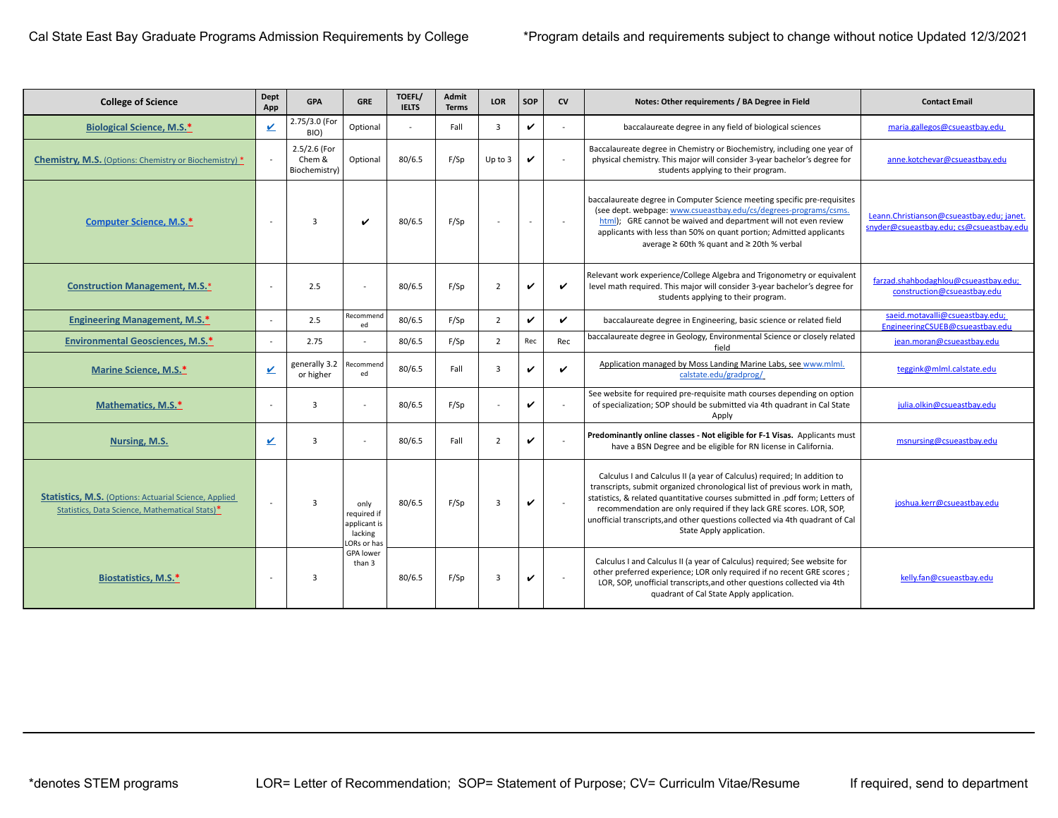| <b>College of Science</b>                                                                                       | Dept<br>App  | <b>GPA</b>                              | <b>GRE</b>                                                    | TOEFL/<br><b>IELTS</b> | Admit<br><b>Terms</b> | <b>LOR</b>     | SOP            | <b>CV</b> | Notes: Other requirements / BA Degree in Field                                                                                                                                                                                                                                                                                                                                                                              | <b>Contact Email</b>                                                                  |
|-----------------------------------------------------------------------------------------------------------------|--------------|-----------------------------------------|---------------------------------------------------------------|------------------------|-----------------------|----------------|----------------|-----------|-----------------------------------------------------------------------------------------------------------------------------------------------------------------------------------------------------------------------------------------------------------------------------------------------------------------------------------------------------------------------------------------------------------------------------|---------------------------------------------------------------------------------------|
| <b>Biological Science, M.S.*</b>                                                                                | $\sqrt{2}$   | 2.75/3.0 (For<br>BIO)                   | Optional                                                      |                        | Fall                  | $\overline{3}$ | V              |           | baccalaureate degree in any field of biological sciences                                                                                                                                                                                                                                                                                                                                                                    | maria.gallegos@csueastbay.edu                                                         |
| <b>Chemistry, M.S.</b> (Options: Chemistry or Biochemistry) *                                                   | $\sim$       | 2.5/2.6 (For<br>Chem &<br>Biochemistry) | Optional                                                      | 80/6.5                 | F/Sp                  | Up to $3$      |                |           | Baccalaureate degree in Chemistry or Biochemistry, including one year of<br>physical chemistry. This major will consider 3-year bachelor's degree for<br>students applying to their program.                                                                                                                                                                                                                                | anne.kotchevar@csueastbay.edu                                                         |
| <b>Computer Science, M.S.*</b>                                                                                  | $\sim$       | $\overline{3}$                          | $\checkmark$                                                  | 80/6.5                 | F/Sp                  |                | $\blacksquare$ | $\sim$    | baccalaureate degree in Computer Science meeting specific pre-requisites<br>(see dept. webpage: www.csueastbay.edu/cs/degrees-programs/csms.<br>html); GRE cannot be waived and department will not even review<br>applicants with less than 50% on quant portion; Admitted applicants<br>average ≥ 60th % quant and ≥ 20th % verbal                                                                                        | Leann.Christianson@csueastbay.edu; janet.<br>snyder@csueastbay.edu; cs@csueastbay.edu |
| <b>Construction Management, M.S.*</b>                                                                           | $\sim$       | 2.5                                     |                                                               | 80/6.5                 | F/Sp                  | $\overline{2}$ |                | ✓         | Relevant work experience/College Algebra and Trigonometry or equivalent<br>level math required. This major will consider 3-year bachelor's degree for<br>students applying to their program.                                                                                                                                                                                                                                | farzad.shahbodaghlou@csueastbay.edu;<br>construction@csueastbay.edu                   |
| <b>Engineering Management, M.S.*</b>                                                                            | $\sim$       | 2.5                                     | Recommend<br>ed                                               | 80/6.5                 | F/Sp                  | $\overline{2}$ | V              | ✓         | baccalaureate degree in Engineering, basic science or related field                                                                                                                                                                                                                                                                                                                                                         | saeid.motavalli@csueastbay.edu;<br>EngineeringCSUEB@csueastbay.edu                    |
| <b>Environmental Geosciences, M.S.*</b>                                                                         | $\sim$       | 2.75                                    |                                                               | 80/6.5                 | F/Sp                  | $\overline{2}$ | Rec            | Rec       | baccalaureate degree in Geology, Environmental Science or closely related<br>field                                                                                                                                                                                                                                                                                                                                          | jean.moran@csueastbay.edu                                                             |
| Marine Science, M.S.*                                                                                           | $\mathbf v$  | generally 3.2<br>or higher              | Recommend<br>ed                                               | 80/6.5                 | Fall                  | $\overline{3}$ | ✓              |           | Application managed by Moss Landing Marine Labs, see www.mlml.<br>calstate.edu/gradprog/                                                                                                                                                                                                                                                                                                                                    | teggink@mlml.calstate.edu                                                             |
| Mathematics, M.S.*                                                                                              | $\sim$       | 3                                       |                                                               | 80/6.5                 | F/Sp                  |                | V              |           | See website for required pre-requisite math courses depending on option<br>of specialization; SOP should be submitted via 4th quadrant in Cal State<br>Apply                                                                                                                                                                                                                                                                | julia.olkin@csueastbay.edu                                                            |
| Nursing, M.S.                                                                                                   | $\checkmark$ | 3                                       |                                                               | 80/6.5                 | Fall                  | $\overline{2}$ | V              |           | Predominantly online classes - Not eligible for F-1 Visas. Applicants must<br>have a BSN Degree and be eligible for RN license in California.                                                                                                                                                                                                                                                                               | msnursing@csueastbay.edu                                                              |
| <b>Statistics, M.S.</b> (Options: Actuarial Science, Applied)<br>Statistics, Data Science, Mathematical Stats)* | $\sim$       | 3                                       | only<br>required if<br>applicant is<br>lacking<br>LORs or has | 80/6.5                 | F/Sp                  | $\overline{3}$ | $\checkmark$   |           | Calculus I and Calculus II (a year of Calculus) required; In addition to<br>transcripts, submit organized chronological list of previous work in math,<br>statistics, & related quantitative courses submitted in .pdf form; Letters of<br>recommendation are only required if they lack GRE scores. LOR, SOP,<br>unofficial transcripts, and other questions collected via 4th quadrant of Cal<br>State Apply application. | joshua.kerr@csueastbay.edu                                                            |
| Biostatistics, M.S.*                                                                                            | $\sim$       | 3                                       | <b>GPA</b> lower<br>than 3                                    | 80/6.5                 | F/Sp                  | $\overline{3}$ | v              |           | Calculus I and Calculus II (a year of Calculus) required; See website for<br>other preferred experience; LOR only required if no recent GRE scores;<br>LOR, SOP, unofficial transcripts, and other questions collected via 4th<br>quadrant of Cal State Apply application.                                                                                                                                                  | kelly.fan@csueastbay.edu                                                              |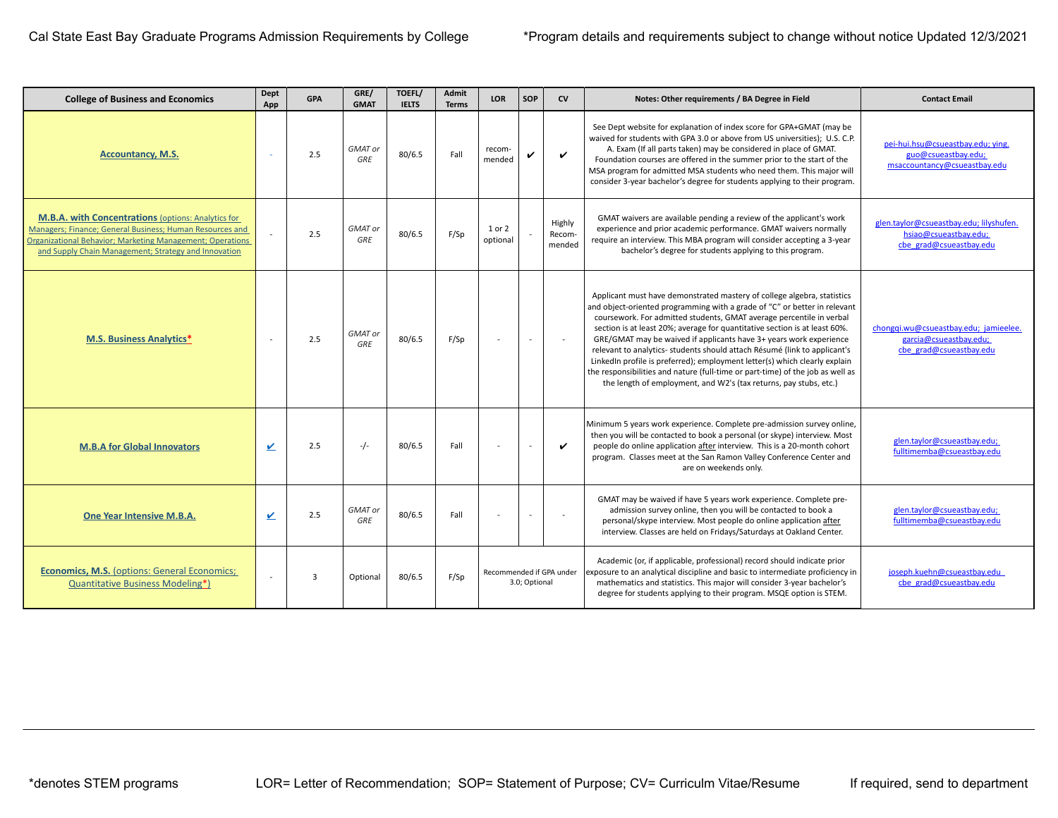| <b>College of Business and Economics</b>                                                                                                                                                                                                          | Dept<br>App    | <b>GPA</b>     | GRE/<br><b>GMAT</b>   | TOEFL/<br><b>IELTS</b> | Admit<br><b>Terms</b> | <b>LOR</b>                                | SOP | <b>CV</b>                  | Notes: Other requirements / BA Degree in Field                                                                                                                                                                                                                                                                                                                                                                                                                                                                                                                                                                                                                                                     | <b>Contact Email</b>                                                                        |
|---------------------------------------------------------------------------------------------------------------------------------------------------------------------------------------------------------------------------------------------------|----------------|----------------|-----------------------|------------------------|-----------------------|-------------------------------------------|-----|----------------------------|----------------------------------------------------------------------------------------------------------------------------------------------------------------------------------------------------------------------------------------------------------------------------------------------------------------------------------------------------------------------------------------------------------------------------------------------------------------------------------------------------------------------------------------------------------------------------------------------------------------------------------------------------------------------------------------------------|---------------------------------------------------------------------------------------------|
| <b>Accountancy, M.S.</b>                                                                                                                                                                                                                          | $\sim$         | 2.5            | GMAT or<br>GRE        | 80/6.5                 | Fall                  | recom-<br>mended                          | ✓   | $\boldsymbol{\nu}$         | See Dept website for explanation of index score for GPA+GMAT (may be<br>waived for students with GPA 3.0 or above from US universities); U.S. C.P.<br>A. Exam (If all parts taken) may be considered in place of GMAT.<br>Foundation courses are offered in the summer prior to the start of the<br>MSA program for admitted MSA students who need them. This major will<br>consider 3-year bachelor's degree for students applying to their program.                                                                                                                                                                                                                                              | pei-hui.hsu@csueastbay.edu; ying.<br>guo@csueastbay.edu;<br>msaccountancy@csueastbay.edu    |
| <b>M.B.A. with Concentrations (options: Analytics for</b><br>Managers; Finance; General Business; Human Resources and<br><b>Organizational Behavior; Marketing Management; Operations</b><br>and Supply Chain Management; Strategy and Innovation |                | 2.5            | GMAT or<br>GRE        | 80/6.5                 | F/Sp                  | 1 or 2<br>optional                        |     | Highly<br>Recom-<br>mended | GMAT waivers are available pending a review of the applicant's work<br>experience and prior academic performance. GMAT waivers normally<br>require an interview. This MBA program will consider accepting a 3-year<br>bachelor's degree for students applying to this program.                                                                                                                                                                                                                                                                                                                                                                                                                     | glen.taylor@csueastbay.edu; lilyshufen.<br>hsiao@csueastbay.edu;<br>cbe grad@csueastbay.edu |
| <b>M.S. Business Analytics*</b>                                                                                                                                                                                                                   | $\sim$         | 2.5            | <b>GMAT</b> or<br>GRE | 80/6.5                 | F/Sp                  |                                           |     |                            | Applicant must have demonstrated mastery of college algebra, statistics<br>and object-oriented programming with a grade of "C" or better in relevant<br>coursework. For admitted students, GMAT average percentile in verbal<br>section is at least 20%; average for quantitative section is at least 60%.<br>GRE/GMAT may be waived if applicants have 3+ years work experience<br>relevant to analytics- students should attach Résumé (link to applicant's<br>LinkedIn profile is preferred); employment letter(s) which clearly explain<br>the responsibilities and nature (full-time or part-time) of the job as well as<br>the length of employment, and W2's (tax returns, pay stubs, etc.) | chongqi.wu@csueastbay.edu; jamieelee.<br>garcia@csueastbay.edu;<br>cbe grad@csueastbay.edu  |
| <b>M.B.A for Global Innovators</b>                                                                                                                                                                                                                | V              | 2.5            | $-/-$                 | 80/6.5                 | Fall                  |                                           |     | $\checkmark$               | Minimum 5 years work experience. Complete pre-admission survey online,<br>then you will be contacted to book a personal (or skype) interview. Most<br>people do online application after interview. This is a 20-month cohort<br>program. Classes meet at the San Ramon Valley Conference Center and<br>are on weekends only.                                                                                                                                                                                                                                                                                                                                                                      | glen.taylor@csueastbay.edu;<br>fulltimemba@csueastbay.edu                                   |
| One Year Intensive M.B.A.                                                                                                                                                                                                                         | V              | 2.5            | <b>GMAT</b> or<br>GRE | 80/6.5                 | Fall                  |                                           |     | ÷,                         | GMAT may be waived if have 5 years work experience. Complete pre-<br>admission survey online, then you will be contacted to book a<br>personal/skype interview. Most people do online application after<br>interview. Classes are held on Fridays/Saturdays at Oakland Center.                                                                                                                                                                                                                                                                                                                                                                                                                     | glen.taylor@csueastbay.edu;<br>fulltimemba@csueastbay.edu                                   |
| <b>Economics, M.S. (options: General Economics;</b><br><b>Quantitative Business Modeling*)</b>                                                                                                                                                    | $\overline{a}$ | $\overline{3}$ | Optional              | 80/6.5                 | F/Sp                  | Recommended if GPA under<br>3.0; Optional |     |                            | Academic (or, if applicable, professional) record should indicate prior<br>exposure to an analytical discipline and basic to intermediate proficiency in<br>mathematics and statistics. This major will consider 3-year bachelor's<br>degree for students applying to their program. MSQE option is STEM.                                                                                                                                                                                                                                                                                                                                                                                          | joseph.kuehn@csueastbay.edu<br>cbe grad@csueastbay.edu                                      |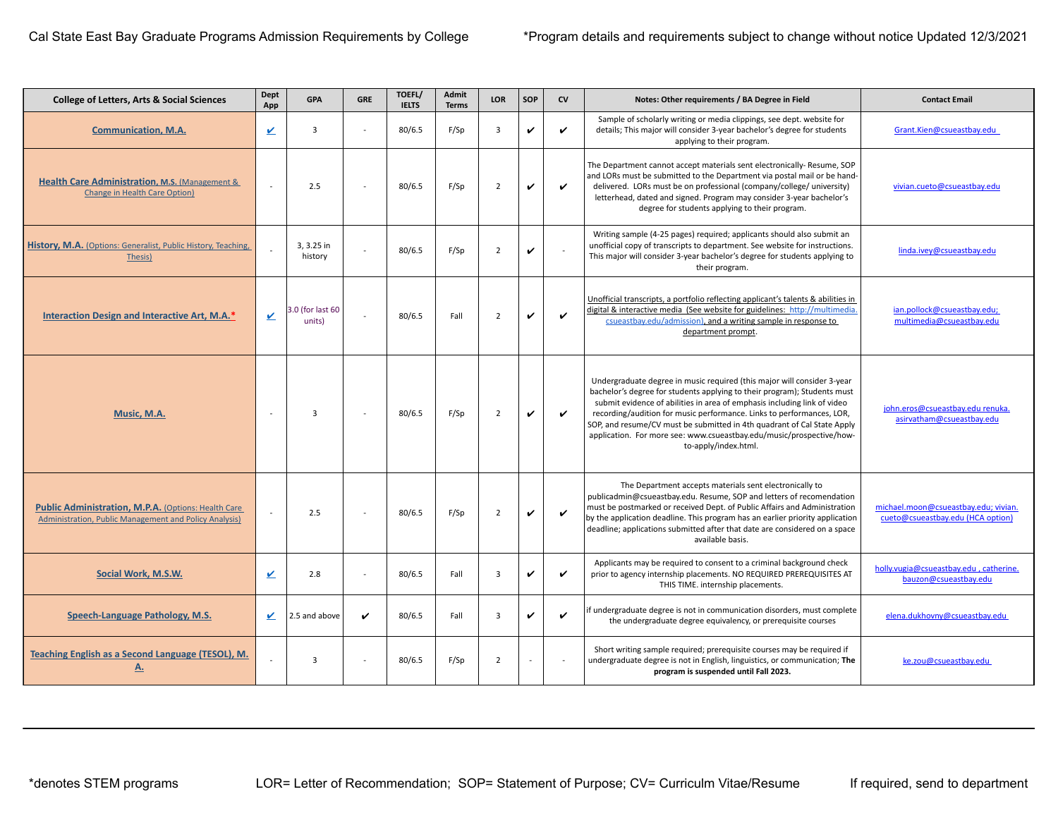| <b>College of Letters, Arts &amp; Social Sciences</b>                                                         | Dept<br>App | <b>GPA</b>                 | <b>GRE</b> | TOEFL/<br><b>IELTS</b> | Admit<br><b>Terms</b> | <b>LOR</b>     | SOP          | cv           | Notes: Other requirements / BA Degree in Field                                                                                                                                                                                                                                                                                                                                                                                                                                      | <b>Contact Email</b>                                                      |
|---------------------------------------------------------------------------------------------------------------|-------------|----------------------------|------------|------------------------|-----------------------|----------------|--------------|--------------|-------------------------------------------------------------------------------------------------------------------------------------------------------------------------------------------------------------------------------------------------------------------------------------------------------------------------------------------------------------------------------------------------------------------------------------------------------------------------------------|---------------------------------------------------------------------------|
| <b>Communication, M.A.</b>                                                                                    | ⊻           | $\overline{3}$             | ÷.         | 80/6.5                 | F/Sp                  | 3              | $\checkmark$ | $\checkmark$ | Sample of scholarly writing or media clippings, see dept. website for<br>details; This major will consider 3-year bachelor's degree for students<br>applying to their program.                                                                                                                                                                                                                                                                                                      | Grant.Kien@csueastbay.edu                                                 |
| Health Care Administration, M.S. (Management &<br><b>Change in Health Care Option)</b>                        |             | 2.5                        |            | 80/6.5                 | F/Sp                  | $\overline{2}$ | $\checkmark$ | ✓            | The Department cannot accept materials sent electronically-Resume, SOP<br>and LORs must be submitted to the Department via postal mail or be hand-<br>delivered. LORs must be on professional (company/college/ university)<br>letterhead, dated and signed. Program may consider 3-year bachelor's<br>degree for students applying to their program.                                                                                                                               | vivian.cueto@csueastbay.edu                                               |
| History, M.A. (Options: Generalist, Public History, Teaching,<br>Thesis)                                      |             | 3, 3.25 in<br>history      |            | 80/6.5                 | F/Sp                  | $\overline{2}$ | $\checkmark$ |              | Writing sample (4-25 pages) required; applicants should also submit an<br>unofficial copy of transcripts to department. See website for instructions.<br>This major will consider 3-year bachelor's degree for students applying to<br>their program.                                                                                                                                                                                                                               | linda.ivey@csueastbay.edu                                                 |
| Interaction Design and Interactive Art, M.A.*                                                                 | ⊻           | 3.0 (for last 60<br>units) |            | 80/6.5                 | Fall                  | $\overline{2}$ | $\checkmark$ | $\checkmark$ | Unofficial transcripts, a portfolio reflecting applicant's talents & abilities in<br>digital & interactive media (See website for guidelines: http://multimedia.<br>csueastbay.edu/admission), and a writing sample in response to<br>department prompt.                                                                                                                                                                                                                            | ian.pollock@csueastbay.edu;<br>multimedia@csueastbay.edu                  |
| Music, M.A.                                                                                                   |             | $\overline{3}$             |            | 80/6.5                 | F/Sp                  | $\overline{2}$ | $\checkmark$ | $\checkmark$ | Undergraduate degree in music required (this major will consider 3-year<br>bachelor's degree for students applying to their program); Students must<br>submit evidence of abilities in area of emphasis including link of video<br>recording/audition for music performance. Links to performances, LOR,<br>SOP, and resume/CV must be submitted in 4th quadrant of Cal State Apply<br>application. For more see: www.csueastbay.edu/music/prospective/how-<br>to-apply/index.html. | john.eros@csueastbay.edu renuka.<br>asirvatham@csueastbay.edu             |
| Public Administration, M.P.A. (Options: Health Care<br>Administration, Public Management and Policy Analysis) | $\sim$      | 2.5                        |            | 80/6.5                 | F/Sp                  | $\overline{2}$ | $\checkmark$ | V            | The Department accepts materials sent electronically to<br>publicadmin@csueastbay.edu. Resume, SOP and letters of recomendation<br>must be postmarked or received Dept. of Public Affairs and Administration<br>by the application deadline. This program has an earlier priority application<br>deadline; applications submitted after that date are considered on a space<br>available basis.                                                                                     | michael.moon@csueastbay.edu; vivian.<br>cueto@csueastbay.edu (HCA option) |
| Social Work, M.S.W.                                                                                           | ⊻           | 2.8                        |            | 80/6.5                 | Fall                  | $\overline{3}$ | v            | ✓            | Applicants may be required to consent to a criminal background check<br>prior to agency internship placements. NO REQUIRED PREREQUISITES AT<br>THIS TIME. internship placements.                                                                                                                                                                                                                                                                                                    | holly.vugia@csueastbay.edu, catherine.<br>bauzon@csueastbay.edu           |
| Speech-Language Pathology, M.S.                                                                               | V           | 2.5 and above              | v          | 80/6.5                 | Fall                  | $\overline{3}$ | v            | ✓            | if undergraduate degree is not in communication disorders, must complete<br>the undergraduate degree equivalency, or prerequisite courses                                                                                                                                                                                                                                                                                                                                           | elena.dukhovny@csueastbay.edu                                             |
| <b>Teaching English as a Second Language (TESOL), M.</b><br><u>A.</u>                                         |             | $\overline{3}$             |            | 80/6.5                 | F/Sp                  | $\overline{2}$ |              |              | Short writing sample required; prerequisite courses may be required if<br>undergraduate degree is not in English, linguistics, or communication; The<br>program is suspended until Fall 2023.                                                                                                                                                                                                                                                                                       | ke.zou@csueastbay.edu                                                     |